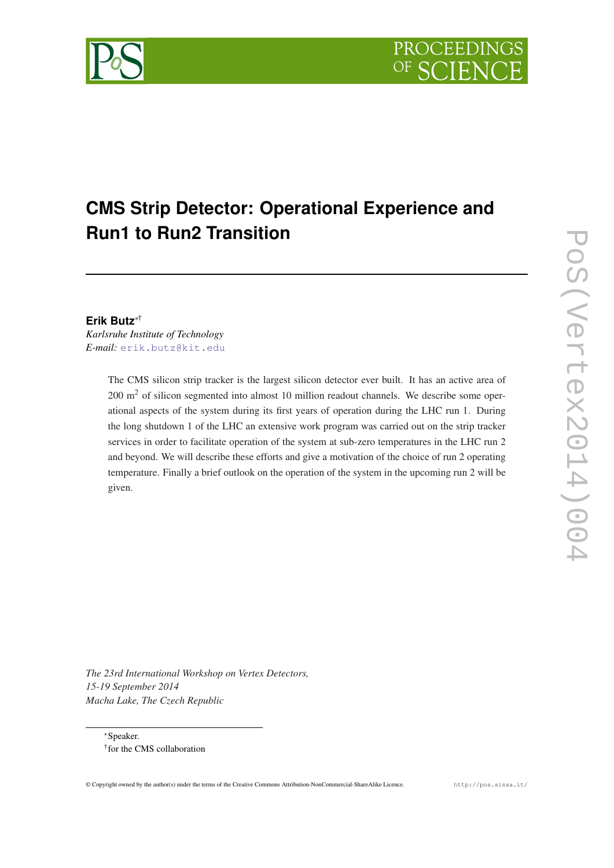# **CMS Strip Detector: Operational Experience and Run1 to Run2 Transition**

# **Erik Butz**∗†

*Karlsruhe Institute of Technology E-mail:* [erik.butz@kit.edu](mailto:erik.butz@kit.edu)

> The CMS silicon strip tracker is the largest silicon detector ever built. It has an active area of 200 m<sup>2</sup> of silicon segmented into almost 10 million readout channels. We describe some operational aspects of the system during its first years of operation during the LHC run 1. During the long shutdown 1 of the LHC an extensive work program was carried out on the strip tracker services in order to facilitate operation of the system at sub-zero temperatures in the LHC run 2 and beyond. We will describe these efforts and give a motivation of the choice of run 2 operating temperature. Finally a brief outlook on the operation of the system in the upcoming run 2 will be given.

*The 23rd International Workshop on Vertex Detectors, 15-19 September 2014 Macha Lake, The Czech Republic*

<sup>∗</sup>Speaker. † for the CMS collaboration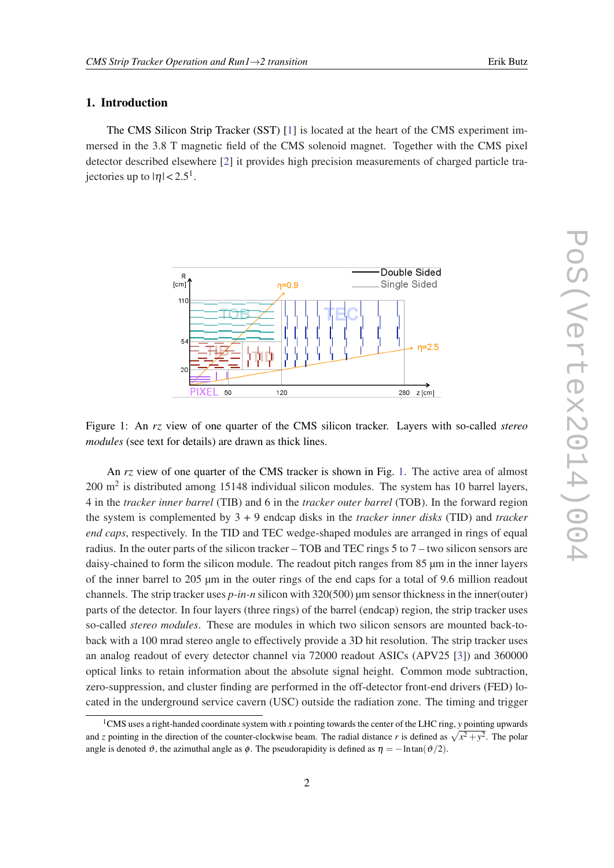# 1. Introduction

The CMS Silicon Strip Tracker (SST) [[1](#page-8-0)] is located at the heart of the CMS experiment immersed in the 3.8 T magnetic field of the CMS solenoid magnet. Together with the CMS pixel detector described elsewhere [\[2](#page-9-0)] it provides high precision measurements of charged particle trajectories up to  $|\eta| < 2.5^1$ .



Figure 1: An *rz* view of one quarter of the CMS silicon tracker. Layers with so-called *stereo modules* (see text for details) are drawn as thick lines.

An *rz* view of one quarter of the CMS tracker is shown in Fig. 1. The active area of almost  $200 \text{ m}^2$  is distributed among 15148 individual silicon modules. The system has 10 barrel layers, 4 in the *tracker inner barrel* (TIB) and 6 in the *tracker outer barrel* (TOB). In the forward region the system is complemented by 3 + 9 endcap disks in the *tracker inner disks* (TID) and *tracker end caps*, respectively. In the TID and TEC wedge-shaped modules are arranged in rings of equal radius. In the outer parts of the silicon tracker – TOB and TEC rings 5 to 7 – two silicon sensors are daisy-chained to form the silicon module. The readout pitch ranges from 85  $\mu$ m in the inner layers of the inner barrel to 205 µm in the outer rings of the end caps for a total of 9.6 million readout channels. The strip tracker uses *p-in-n* silicon with 320(500) um sensor thickness in the inner(outer) parts of the detector. In four layers (three rings) of the barrel (endcap) region, the strip tracker uses so-called *stereo modules*. These are modules in which two silicon sensors are mounted back-toback with a 100 mrad stereo angle to effectively provide a 3D hit resolution. The strip tracker uses an analog readout of every detector channel via 72000 readout ASICs (APV25 [\[3\]](#page-9-0)) and 360000 optical links to retain information about the absolute signal height. Common mode subtraction, zero-suppression, and cluster finding are performed in the off-detector front-end drivers (FED) located in the underground service cavern (USC) outside the radiation zone. The timing and trigger

<sup>1</sup>CMS uses a right-handed coordinate system with *x* pointing towards the center of the LHC ring, *y* pointing upwards and *z* pointing in the direction of the counter-clockwise beam. The radial distance *r* is defined as  $\sqrt{x^2 + y^2}$ . The polar angle is denoted  $\vartheta$ , the azimuthal angle as  $\varphi$ . The pseudorapidity is defined as  $\eta = -\ln \tan(\vartheta/2)$ .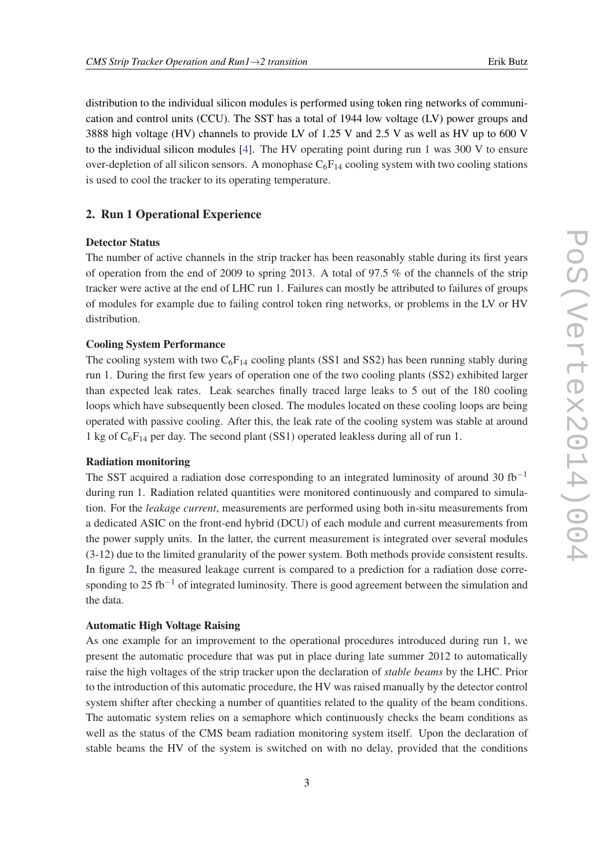distribution to the individual silicon modules is performed using token ring networks of communication and control units (CCU). The SST has a total of 1944 low voltage (LV) power groups and 3888 high voltage (HV) channels to provide LV of 1.25 V and 2.5 V as well as HV up to 600 V to the individual silicon modules [\[4\]](#page-9-0). The HV operating point during run 1 was 300 V to ensure over-depletion of all silicon sensors. A monophase  $C_6F_{14}$  cooling system with two cooling stations is used to cool the tracker to its operating temperature.

# 2. Run 1 Operational Experience

# Detector Status

The number of active channels in the strip tracker has been reasonably stable during its first years of operation from the end of 2009 to spring 2013. A total of 97.5 % of the channels of the strip tracker were active at the end of LHC run 1. Failures can mostly be attributed to failures of groups of modules for example due to failing control token ring networks, or problems in the LV or HV distribution.

### Cooling System Performance

The cooling system with two  $C_6F_{14}$  cooling plants (SS1 and SS2) has been running stably during run 1. During the first few years of operation one of the two cooling plants (SS2) exhibited larger than expected leak rates. Leak searches finally traced large leaks to 5 out of the 180 cooling loops which have subsequently been closed. The modules located on these cooling loops are being operated with passive cooling. After this, the leak rate of the cooling system was stable at around 1 kg of  $C_6F_{14}$  per day. The second plant (SS1) operated leakless during all of run 1.

# Radiation monitoring

The SST acquired a radiation dose corresponding to an integrated luminosity of around 30 fb<sup>-1</sup> during run 1. Radiation related quantities were monitored continuously and compared to simulation. For the *leakage current*, measurements are performed using both in-situ measurements from a dedicated ASIC on the front-end hybrid (DCU) of each module and current measurements from the power supply units. In the latter, the current measurement is integrated over several modules (3-12) due to the limited granularity of the power system. Both methods provide consistent results. In figure [2](#page-3-0), the measured leakage current is compared to a prediction for a radiation dose corresponding to 25 fb<sup>-1</sup> of integrated luminosity. There is good agreement between the simulation and the data.

# Automatic High Voltage Raising

As one example for an improvement to the operational procedures introduced during run 1, we present the automatic procedure that was put in place during late summer 2012 to automatically raise the high voltages of the strip tracker upon the declaration of *stable beams* by the LHC. Prior to the introduction of this automatic procedure, the HV was raised manually by the detector control system shifter after checking a number of quantities related to the quality of the beam conditions. The automatic system relies on a semaphore which continuously checks the beam conditions as well as the status of the CMS beam radiation monitoring system itself. Upon the declaration of stable beams the HV of the system is switched on with no delay, provided that the conditions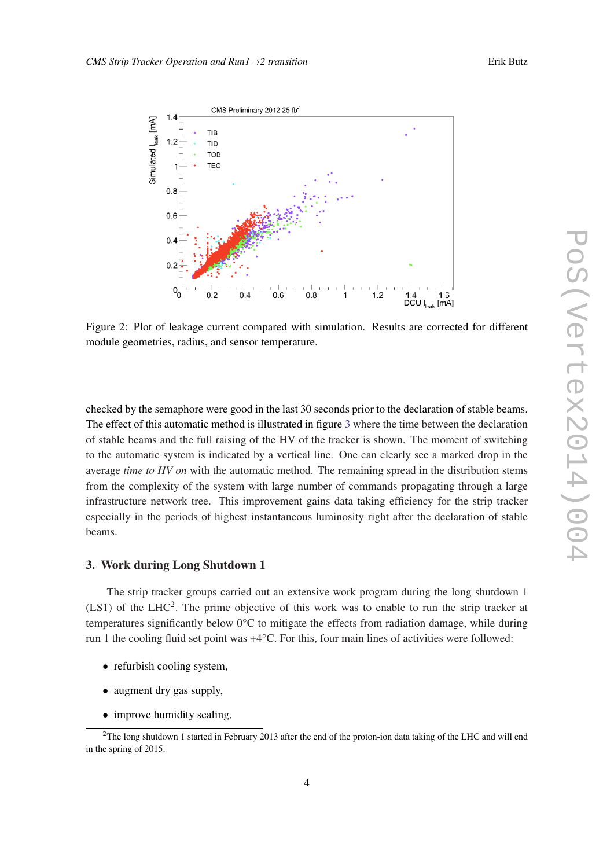

<span id="page-3-0"></span>

Figure 2: Plot of leakage current compared with simulation. Results are corrected for different module geometries, radius, and sensor temperature.

checked by the semaphore were good in the last 30 seconds prior to the declaration of stable beams. The effect of this automatic method is illustrated in figure [3](#page-4-0) where the time between the declaration of stable beams and the full raising of the HV of the tracker is shown. The moment of switching to the automatic system is indicated by a vertical line. One can clearly see a marked drop in the average *time to HV on* with the automatic method. The remaining spread in the distribution stems from the complexity of the system with large number of commands propagating through a large infrastructure network tree. This improvement gains data taking efficiency for the strip tracker especially in the periods of highest instantaneous luminosity right after the declaration of stable beams.

### 3. Work during Long Shutdown 1

The strip tracker groups carried out an extensive work program during the long shutdown 1  $(LS1)$  of the LHC<sup>2</sup>. The prime objective of this work was to enable to run the strip tracker at temperatures significantly below 0°C to mitigate the effects from radiation damage, while during run 1 the cooling fluid set point was +4°C. For this, four main lines of activities were followed:

- refurbish cooling system,
- augment dry gas supply,
- improve humidity sealing,

<sup>&</sup>lt;sup>2</sup>The long shutdown 1 started in February 2013 after the end of the proton-ion data taking of the LHC and will end in the spring of 2015.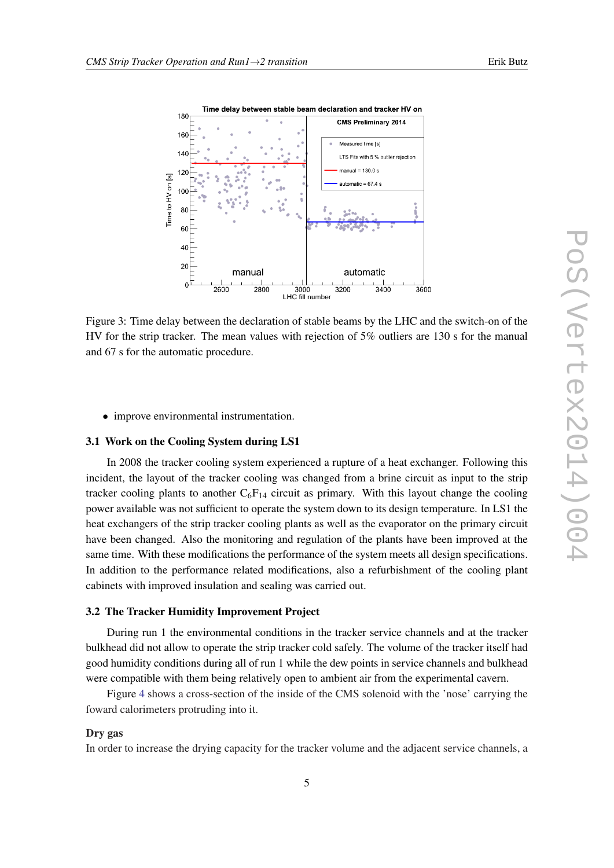<span id="page-4-0"></span>

Figure 3: Time delay between the declaration of stable beams by the LHC and the switch-on of the HV for the strip tracker. The mean values with rejection of 5% outliers are 130 s for the manual and 67 s for the automatic procedure.

• improve environmental instrumentation.

#### 3.1 Work on the Cooling System during LS1

In 2008 the tracker cooling system experienced a rupture of a heat exchanger. Following this incident, the layout of the tracker cooling was changed from a brine circuit as input to the strip tracker cooling plants to another  $C_6F_{14}$  circuit as primary. With this layout change the cooling power available was not sufficient to operate the system down to its design temperature. In LS1 the heat exchangers of the strip tracker cooling plants as well as the evaporator on the primary circuit have been changed. Also the monitoring and regulation of the plants have been improved at the same time. With these modifications the performance of the system meets all design specifications. In addition to the performance related modifications, also a refurbishment of the cooling plant cabinets with improved insulation and sealing was carried out.

# 3.2 The Tracker Humidity Improvement Project

During run 1 the environmental conditions in the tracker service channels and at the tracker bulkhead did not allow to operate the strip tracker cold safely. The volume of the tracker itself had good humidity conditions during all of run 1 while the dew points in service channels and bulkhead were compatible with them being relatively open to ambient air from the experimental cavern.

Figure [4](#page-5-0) shows a cross-section of the inside of the CMS solenoid with the 'nose' carrying the foward calorimeters protruding into it.

#### Dry gas

In order to increase the drying capacity for the tracker volume and the adjacent service channels, a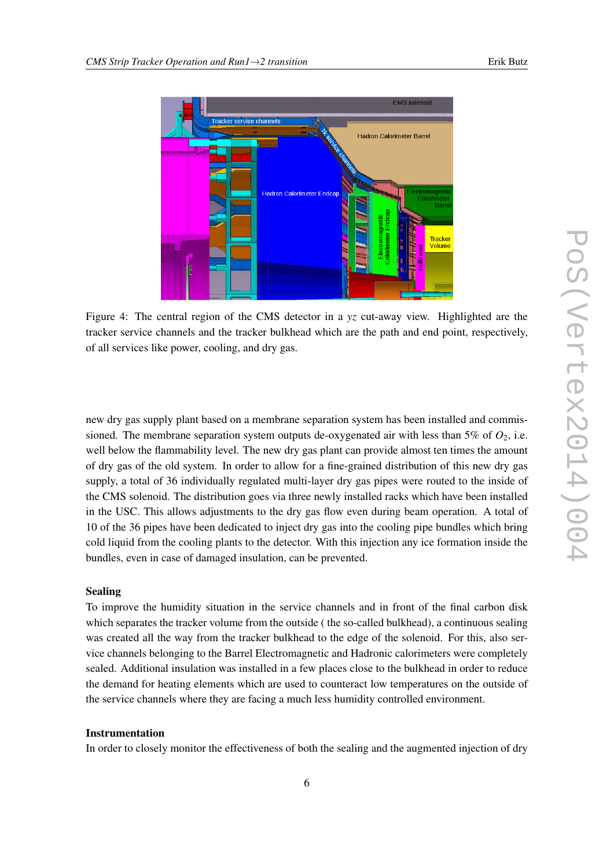<span id="page-5-0"></span>

Figure 4: The central region of the CMS detector in a *yz* cut-away view. Highlighted are the tracker service channels and the tracker bulkhead which are the path and end point, respectively, of all services like power, cooling, and dry gas.

new dry gas supply plant based on a membrane separation system has been installed and commissioned. The membrane separation system outputs de-oxygenated air with less than 5% of  $O_2$ , i.e. well below the flammability level. The new dry gas plant can provide almost ten times the amount of dry gas of the old system. In order to allow for a fine-grained distribution of this new dry gas supply, a total of 36 individually regulated multi-layer dry gas pipes were routed to the inside of the CMS solenoid. The distribution goes via three newly installed racks which have been installed in the USC. This allows adjustments to the dry gas flow even during beam operation. A total of 10 of the 36 pipes have been dedicated to inject dry gas into the cooling pipe bundles which bring cold liquid from the cooling plants to the detector. With this injection any ice formation inside the bundles, even in case of damaged insulation, can be prevented.

### Sealing

To improve the humidity situation in the service channels and in front of the final carbon disk which separates the tracker volume from the outside ( the so-called bulkhead), a continuous sealing was created all the way from the tracker bulkhead to the edge of the solenoid. For this, also service channels belonging to the Barrel Electromagnetic and Hadronic calorimeters were completely sealed. Additional insulation was installed in a few places close to the bulkhead in order to reduce the demand for heating elements which are used to counteract low temperatures on the outside of the service channels where they are facing a much less humidity controlled environment.

#### Instrumentation

In order to closely monitor the effectiveness of both the sealing and the augmented injection of dry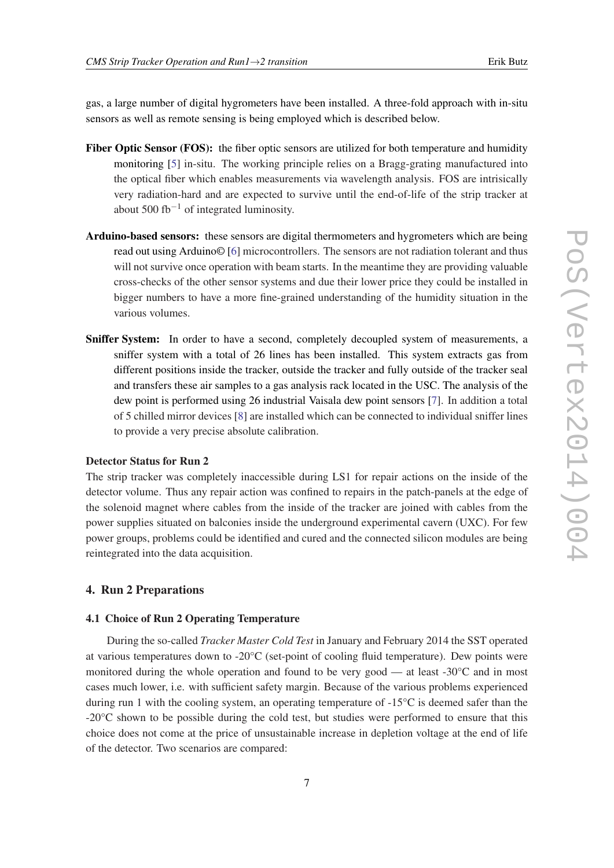gas, a large number of digital hygrometers have been installed. A three-fold approach with in-situ sensors as well as remote sensing is being employed which is described below.

- Fiber Optic Sensor (FOS): the fiber optic sensors are utilized for both temperature and humidity monitoring [\[5](#page-9-0)] in-situ. The working principle relies on a Bragg-grating manufactured into the optical fiber which enables measurements via wavelength analysis. FOS are intrisically very radiation-hard and are expected to survive until the end-of-life of the strip tracker at about 500 fb<sup>-1</sup> of integrated luminosity.
- Arduino-based sensors: these sensors are digital thermometers and hygrometers which are being read out using Arduino© [\[6\]](#page-9-0) microcontrollers. The sensors are not radiation tolerant and thus will not survive once operation with beam starts. In the meantime they are providing valuable cross-checks of the other sensor systems and due their lower price they could be installed in bigger numbers to have a more fine-grained understanding of the humidity situation in the various volumes.
- Sniffer System: In order to have a second, completely decoupled system of measurements, a sniffer system with a total of 26 lines has been installed. This system extracts gas from different positions inside the tracker, outside the tracker and fully outside of the tracker seal and transfers these air samples to a gas analysis rack located in the USC. The analysis of the dew point is performed using 26 industrial Vaisala dew point sensors [[7](#page-9-0)]. In addition a total of 5 chilled mirror devices [[8](#page-9-0)] are installed which can be connected to individual sniffer lines to provide a very precise absolute calibration.

#### Detector Status for Run 2

The strip tracker was completely inaccessible during LS1 for repair actions on the inside of the detector volume. Thus any repair action was confined to repairs in the patch-panels at the edge of the solenoid magnet where cables from the inside of the tracker are joined with cables from the power supplies situated on balconies inside the underground experimental cavern (UXC). For few power groups, problems could be identified and cured and the connected silicon modules are being reintegrated into the data acquisition.

#### 4. Run 2 Preparations

## 4.1 Choice of Run 2 Operating Temperature

During the so-called *Tracker Master Cold Test* in January and February 2014 the SST operated at various temperatures down to -20°C (set-point of cooling fluid temperature). Dew points were monitored during the whole operation and found to be very good — at least  $-30^{\circ}$ C and in most cases much lower, i.e. with sufficient safety margin. Because of the various problems experienced during run 1 with the cooling system, an operating temperature of -15°C is deemed safer than the -20°C shown to be possible during the cold test, but studies were performed to ensure that this choice does not come at the price of unsustainable increase in depletion voltage at the end of life of the detector. Two scenarios are compared: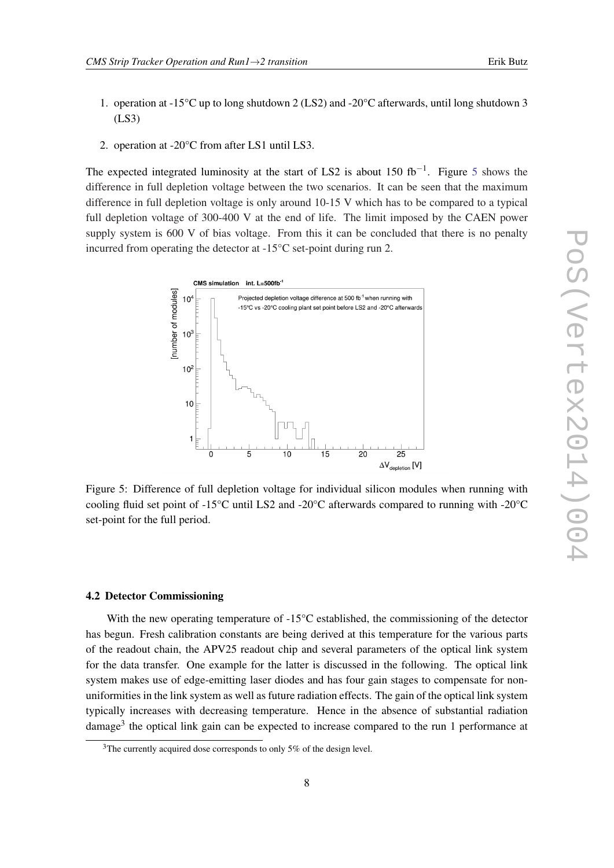- 1. operation at -15°C up to long shutdown 2 (LS2) and -20°C afterwards, until long shutdown 3 (LS3)
- 2. operation at -20°C from after LS1 until LS3.

The expected integrated luminosity at the start of LS2 is about 150 fb<sup>-1</sup>. Figure 5 shows the difference in full depletion voltage between the two scenarios. It can be seen that the maximum difference in full depletion voltage is only around 10-15 V which has to be compared to a typical full depletion voltage of 300-400 V at the end of life. The limit imposed by the CAEN power supply system is 600 V of bias voltage. From this it can be concluded that there is no penalty incurred from operating the detector at -15°C set-point during run 2.



Figure 5: Difference of full depletion voltage for individual silicon modules when running with cooling fluid set point of -15°C until LS2 and -20°C afterwards compared to running with -20°C set-point for the full period.

### 4.2 Detector Commissioning

With the new operating temperature of  $-15^{\circ}$ C established, the commissioning of the detector has begun. Fresh calibration constants are being derived at this temperature for the various parts of the readout chain, the APV25 readout chip and several parameters of the optical link system for the data transfer. One example for the latter is discussed in the following. The optical link system makes use of edge-emitting laser diodes and has four gain stages to compensate for nonuniformities in the link system as well as future radiation effects. The gain of the optical link system typically increases with decreasing temperature. Hence in the absence of substantial radiation damage<sup>3</sup> the optical link gain can be expected to increase compared to the run 1 performance at

<sup>&</sup>lt;sup>3</sup>The currently acquired dose corresponds to only 5% of the design level.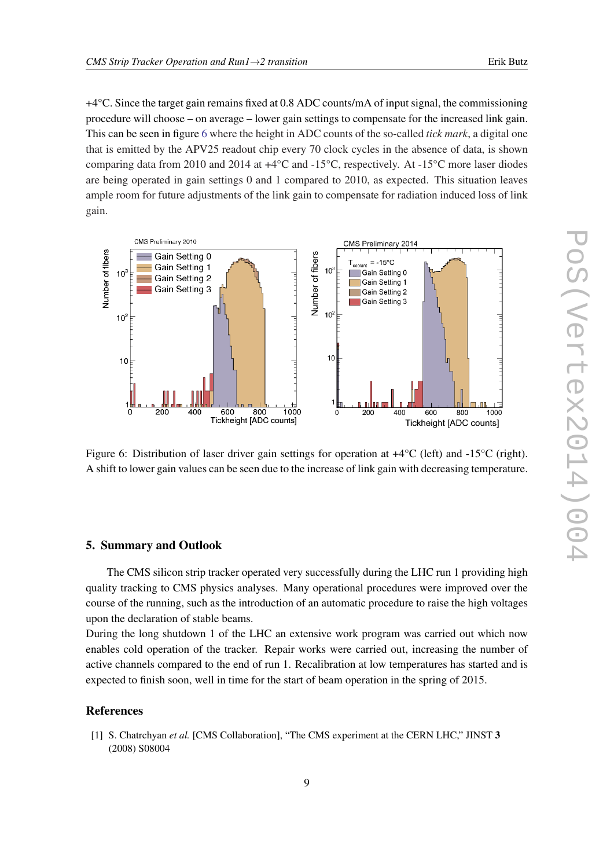<span id="page-8-0"></span>+4°C. Since the target gain remains fixed at 0.8 ADC counts/mA of input signal, the commissioning procedure will choose – on average – lower gain settings to compensate for the increased link gain. This can be seen in figure 6 where the height in ADC counts of the so-called *tick mark*, a digital one that is emitted by the APV25 readout chip every 70 clock cycles in the absence of data, is shown comparing data from 2010 and 2014 at +4°C and -15°C, respectively. At -15°C more laser diodes are being operated in gain settings 0 and 1 compared to 2010, as expected. This situation leaves ample room for future adjustments of the link gain to compensate for radiation induced loss of link gain.



Figure 6: Distribution of laser driver gain settings for operation at  $+4^{\circ}C$  (left) and  $-15^{\circ}C$  (right). A shift to lower gain values can be seen due to the increase of link gain with decreasing temperature.

#### 5. Summary and Outlook

The CMS silicon strip tracker operated very successfully during the LHC run 1 providing high quality tracking to CMS physics analyses. Many operational procedures were improved over the course of the running, such as the introduction of an automatic procedure to raise the high voltages upon the declaration of stable beams.

During the long shutdown 1 of the LHC an extensive work program was carried out which now enables cold operation of the tracker. Repair works were carried out, increasing the number of active channels compared to the end of run 1. Recalibration at low temperatures has started and is expected to finish soon, well in time for the start of beam operation in the spring of 2015.

#### References

[1] S. Chatrchyan *et al.* [CMS Collaboration], "The CMS experiment at the CERN LHC," JINST 3 (2008) S08004